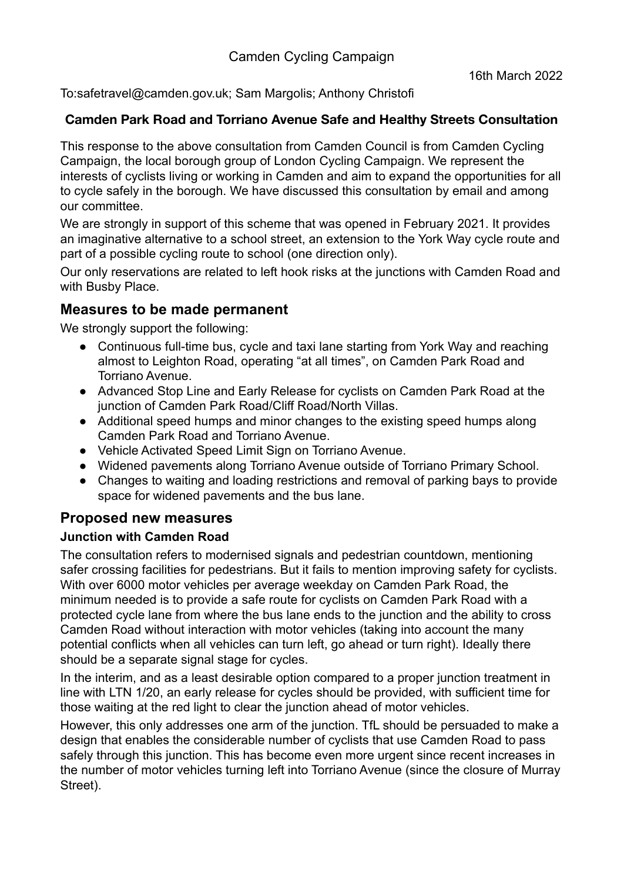To:safetravel@camden.gov.uk; Sam Margolis; Anthony Christofi

### **Camden Park Road and Torriano Avenue Safe and Healthy Streets Consultation**

This response to the above consultation from Camden Council is from Camden Cycling Campaign, the local borough group of London Cycling Campaign. We represent the interests of cyclists living or working in Camden and aim to expand the opportunities for all to cycle safely in the borough. We have discussed this consultation by email and among our committee.

We are strongly in support of this scheme that was opened in February 2021. It provides an imaginative alternative to a school street, an extension to the York Way cycle route and part of a possible cycling route to school (one direction only).

Our only reservations are related to left hook risks at the junctions with Camden Road and with Busby Place.

## **Measures to be made permanent**

We strongly support the following:

- Continuous full-time bus, cycle and taxi lane starting from York Way and reaching almost to Leighton Road, operating "at all times", on Camden Park Road and Torriano Avenue.
- Advanced Stop Line and Early Release for cyclists on Camden Park Road at the junction of Camden Park Road/Cliff Road/North Villas.
- Additional speed humps and minor changes to the existing speed humps along Camden Park Road and Torriano Avenue.
- Vehicle Activated Speed Limit Sign on Torriano Avenue.
- Widened pavements along Torriano Avenue outside of Torriano Primary School.
- Changes to waiting and loading restrictions and removal of parking bays to provide space for widened pavements and the bus lane.

# **Proposed new measures**

#### **Junction with Camden Road**

The consultation refers to modernised signals and pedestrian countdown, mentioning safer crossing facilities for pedestrians. But it fails to mention improving safety for cyclists. With over 6000 motor vehicles per average weekday on Camden Park Road, the minimum needed is to provide a safe route for cyclists on Camden Park Road with a protected cycle lane from where the bus lane ends to the junction and the ability to cross Camden Road without interaction with motor vehicles (taking into account the many potential conflicts when all vehicles can turn left, go ahead or turn right). Ideally there should be a separate signal stage for cycles.

In the interim, and as a least desirable option compared to a proper junction treatment in line with LTN 1/20, an early release for cycles should be provided, with sufficient time for those waiting at the red light to clear the junction ahead of motor vehicles.

However, this only addresses one arm of the junction. TfL should be persuaded to make a design that enables the considerable number of cyclists that use Camden Road to pass safely through this junction. This has become even more urgent since recent increases in the number of motor vehicles turning left into Torriano Avenue (since the closure of Murray Street).